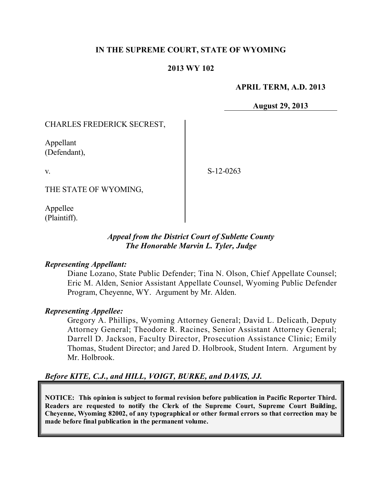## **IN THE SUPREME COURT, STATE OF WYOMING**

### **2013 WY 102**

#### **APRIL TERM, A.D. 2013**

**August 29, 2013**

### CHARLES FREDERICK SECREST,

Appellant (Defendant),

v.

S-12-0263

THE STATE OF WYOMING,

Appellee (Plaintiff).

### *Appeal from the District Court of Sublette County The Honorable Marvin L. Tyler, Judge*

#### *Representing Appellant:*

Diane Lozano, State Public Defender; Tina N. Olson, Chief Appellate Counsel; Eric M. Alden, Senior Assistant Appellate Counsel, Wyoming Public Defender Program, Cheyenne, WY. Argument by Mr. Alden.

#### *Representing Appellee:*

Gregory A. Phillips, Wyoming Attorney General; David L. Delicath, Deputy Attorney General; Theodore R. Racines, Senior Assistant Attorney General; Darrell D. Jackson, Faculty Director, Prosecution Assistance Clinic; Emily Thomas, Student Director; and Jared D. Holbrook, Student Intern. Argument by Mr. Holbrook.

#### *Before KITE, C.J., and HILL, VOIGT, BURKE, and DAVIS, JJ.*

**NOTICE: This opinion is subject to formal revision before publication in Pacific Reporter Third. Readers are requested to notify the Clerk of the Supreme Court, Supreme Court Building, Cheyenne, Wyoming 82002, of any typographical or other formal errors so that correction may be made before final publication in the permanent volume.**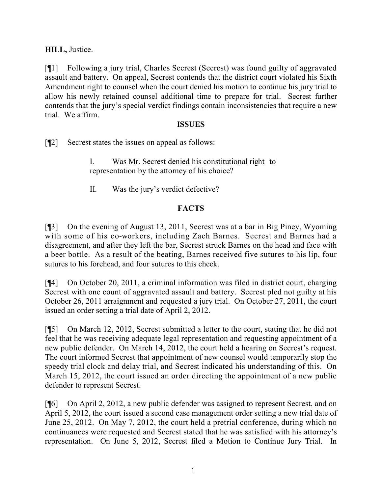## **HILL,** Justice.

[¶1] Following a jury trial, Charles Secrest (Secrest) was found guilty of aggravated assault and battery. On appeal, Secrest contends that the district court violated his Sixth Amendment right to counsel when the court denied his motion to continue his jury trial to allow his newly retained counsel additional time to prepare for trial. Secrest further contends that the jury's special verdict findings contain inconsistencies that require a new trial. We affirm.

### **ISSUES**

[¶2] Secrest states the issues on appeal as follows:

- I. Was Mr. Secrest denied his constitutional right to representation by the attorney of his choice?
- II. Was the jury's verdict defective?

# **FACTS**

[¶3] On the evening of August 13, 2011, Secrest was at a bar in Big Piney, Wyoming with some of his co-workers, including Zach Barnes. Secrest and Barnes had a disagreement, and after they left the bar, Secrest struck Barnes on the head and face with a beer bottle. As a result of the beating, Barnes received five sutures to his lip, four sutures to his forehead, and four sutures to this cheek.

[¶4] On October 20, 2011, a criminal information was filed in district court, charging Secrest with one count of aggravated assault and battery. Secrest pled not guilty at his October 26, 2011 arraignment and requested a jury trial. On October 27, 2011, the court issued an order setting a trial date of April 2, 2012.

[¶5] On March 12, 2012, Secrest submitted a letter to the court, stating that he did not feel that he was receiving adequate legal representation and requesting appointment of a new public defender. On March 14, 2012, the court held a hearing on Secrest's request. The court informed Secrest that appointment of new counsel would temporarily stop the speedy trial clock and delay trial, and Secrest indicated his understanding of this. On March 15, 2012, the court issued an order directing the appointment of a new public defender to represent Secrest.

[¶6] On April 2, 2012, a new public defender was assigned to represent Secrest, and on April 5, 2012, the court issued a second case management order setting a new trial date of June 25, 2012. On May 7, 2012, the court held a pretrial conference, during which no continuances were requested and Secrest stated that he was satisfied with his attorney's representation. On June 5, 2012, Secrest filed a Motion to Continue Jury Trial. In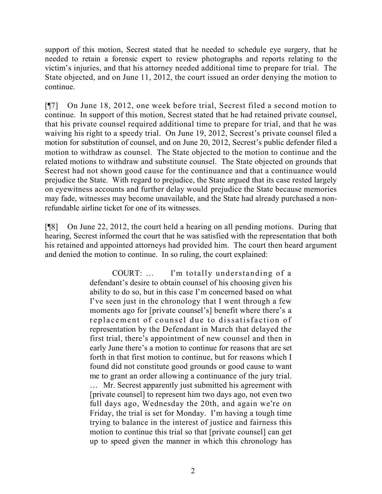support of this motion, Secrest stated that he needed to schedule eye surgery, that he needed to retain a forensic expert to review photographs and reports relating to the victim's injuries, and that his attorney needed additional time to prepare for trial. The State objected, and on June 11, 2012, the court issued an order denying the motion to continue.

[¶7] On June 18, 2012, one week before trial, Secrest filed a second motion to continue. In support of this motion, Secrest stated that he had retained private counsel, that his private counsel required additional time to prepare for trial, and that he was waiving his right to a speedy trial. On June 19, 2012, Secrest's private counsel filed a motion for substitution of counsel, and on June 20, 2012, Secrest's public defender filed a motion to withdraw as counsel. The State objected to the motion to continue and the related motions to withdraw and substitute counsel. The State objected on grounds that Secrest had not shown good cause for the continuance and that a continuance would prejudice the State. With regard to prejudice, the State argued that its case rested largely on eyewitness accounts and further delay would prejudice the State because memories may fade, witnesses may become unavailable, and the State had already purchased a nonrefundable airline ticket for one of its witnesses.

[¶8] On June 22, 2012, the court held a hearing on all pending motions. During that hearing, Secrest informed the court that he was satisfied with the representation that both his retained and appointed attorneys had provided him. The court then heard argument and denied the motion to continue. In so ruling, the court explained:

> COURT: … I'm totally understanding of a defendant's desire to obtain counsel of his choosing given his ability to do so, but in this case I'm concerned based on what I've seen just in the chronology that I went through a few moments ago for [private counsel's] benefit where there's a replacement of counsel due to dissatisfaction of representation by the Defendant in March that delayed the first trial, there's appointment of new counsel and then in early June there's a motion to continue for reasons that are set forth in that first motion to continue, but for reasons which I found did not constitute good grounds or good cause to want me to grant an order allowing a continuance of the jury trial. … Mr. Secrest apparently just submitted his agreement with

> [private counsel] to represent him two days ago, not even two full days ago, Wednesday the 20th, and again we're on Friday, the trial is set for Monday. I'm having a tough time trying to balance in the interest of justice and fairness this motion to continue this trial so that [private counsel] can get up to speed given the manner in which this chronology has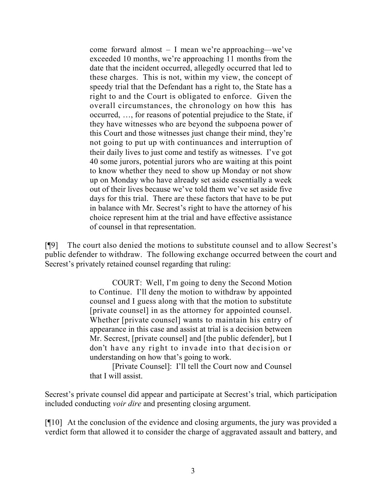come forward almost – I mean we're approaching—we've exceeded 10 months, we're approaching 11 months from the date that the incident occurred, allegedly occurred that led to these charges. This is not, within my view, the concept of speedy trial that the Defendant has a right to, the State has a right to and the Court is obligated to enforce. Given the overall circumstances, the chronology on how this has occurred, …, for reasons of potential prejudice to the State, if they have witnesses who are beyond the subpoena power of this Court and those witnesses just change their mind, they're not going to put up with continuances and interruption of their daily lives to just come and testify as witnesses. I've got 40 some jurors, potential jurors who are waiting at this point to know whether they need to show up Monday or not show up on Monday who have already set aside essentially a week out of their lives because we've told them we've set aside five days for this trial. There are these factors that have to be put in balance with Mr. Secrest's right to have the attorney of his choice represent him at the trial and have effective assistance of counsel in that representation.

[¶9] The court also denied the motions to substitute counsel and to allow Secrest's public defender to withdraw. The following exchange occurred between the court and Secrest's privately retained counsel regarding that ruling:

> COURT: Well, I'm going to deny the Second Motion to Continue. I'll deny the motion to withdraw by appointed counsel and I guess along with that the motion to substitute [private counsel] in as the attorney for appointed counsel. Whether [private counsel] wants to maintain his entry of appearance in this case and assist at trial is a decision between Mr. Secrest, [private counsel] and [the public defender], but I don't have any right to invade into that decision or understanding on how that's going to work.

> [Private Counsel]: I'll tell the Court now and Counsel that I will assist.

Secrest's private counsel did appear and participate at Secrest's trial, which participation included conducting *voir dire* and presenting closing argument.

[¶10] At the conclusion of the evidence and closing arguments, the jury was provided a verdict form that allowed it to consider the charge of aggravated assault and battery, and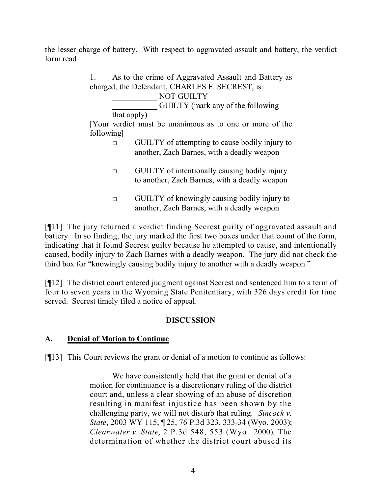the lesser charge of battery. With respect to aggravated assault and battery, the verdict form read:

| 1.                                                                     |             | As to the crime of Aggravated Assault and Battery as                                                  |
|------------------------------------------------------------------------|-------------|-------------------------------------------------------------------------------------------------------|
| charged, the Defendant, CHARLES F. SECREST, is:                        |             |                                                                                                       |
|                                                                        |             | <b>NOT GUILTY</b>                                                                                     |
|                                                                        |             | <b>GUILTY</b> (mark any of the following                                                              |
|                                                                        | that apply) |                                                                                                       |
| [Your verdict must be unanimous as to one or more of the<br>following] |             |                                                                                                       |
|                                                                        | п           | GUILTY of attempting to cause bodily injury to<br>another, Zach Barnes, with a deadly weapon          |
|                                                                        | П           | <b>GUILTY</b> of intentionally causing bodily injury<br>to another, Zach Barnes, with a deadly weapon |
|                                                                        | П           | GUILTY of knowingly causing bodily injury to<br>another, Zach Barnes, with a deadly weapon            |

[¶11] The jury returned a verdict finding Secrest guilty of aggravated assault and battery. In so finding, the jury marked the first two boxes under that count of the form, indicating that it found Secrest guilty because he attempted to cause, and intentionally caused, bodily injury to Zach Barnes with a deadly weapon. The jury did not check the third box for "knowingly causing bodily injury to another with a deadly weapon."

[¶12] The district court entered judgment against Secrest and sentenced him to a term of four to seven years in the Wyoming State Penitentiary, with 326 days credit for time served. Secrest timely filed a notice of appeal.

# **DISCUSSION**

# **A. Denial of Motion to Continue**

[¶13] This Court reviews the grant or denial of a motion to continue as follows:

We have consistently held that the grant or denial of a motion for continuance is a discretionary ruling of the district court and, unless a clear showing of an abuse of discretion resulting in manifest injustice has been shown by the challenging party, we will not disturb that ruling. *Sincock v. State*, 2003 WY 115, ¶ 25, 76 P.3d 323, 333-34 (Wyo. 2003); *Clearwater v. State*, 2 P.3d 548, 553 (Wyo. 2000). The determination of whether the district court abused its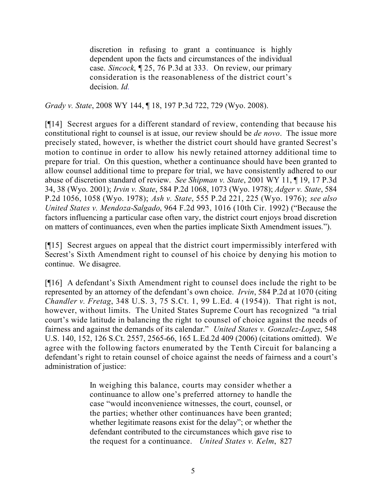discretion in refusing to grant a continuance is highly dependent upon the facts and circumstances of the individual case. *Sincock*, ¶ 25, 76 P.3d at 333. On review, our primary consideration is the reasonableness of the district court's decision. *Id.*

*Grady v. State*, 2008 WY 144, ¶ 18, 197 P.3d 722, 729 (Wyo. 2008).

[¶14] Secrest argues for a different standard of review, contending that because his constitutional right to counsel is at issue, our review should be *de novo*. The issue more precisely stated, however, is whether the district court should have granted Secrest's motion to continue in order to allow his newly retained attorney additional time to prepare for trial. On this question, whether a continuance should have been granted to allow counsel additional time to prepare for trial, we have consistently adhered to our abuse of discretion standard of review. *See Shipman v. State*, 2001 WY 11, ¶ 19, 17 P.3d 34, 38 (Wyo. 2001); *Irvin v. State*, 584 P.2d 1068, 1073 (Wyo. 1978); *Adger v. State*, 584 P.2d 1056, 1058 (Wyo. 1978); *Ash v. State*, 555 P.2d 221, 225 (Wyo. 1976); *see also United States v. Mendoza-Salgado*, 964 F.2d 993, 1016 (10th Cir. 1992) ("Because the factors influencing a particular case often vary, the district court enjoys broad discretion on matters of continuances, even when the parties implicate Sixth Amendment issues.").

[¶15] Secrest argues on appeal that the district court impermissibly interfered with Secrest's Sixth Amendment right to counsel of his choice by denying his motion to continue. We disagree.

[¶16] A defendant's Sixth Amendment right to counsel does include the right to be represented by an attorney of the defendant's own choice. *Irvin*, 584 P.2d at 1070 (citing *Chandler v. Fretag*, 348 U.S. 3, 75 S.Ct. 1, 99 L.Ed. 4 (1954)). That right is not, however, without limits. The United States Supreme Court has recognized "a trial court's wide latitude in balancing the right to counsel of choice against the needs of fairness and against the demands of its calendar." *United States v. Gonzalez-Lopez*, 548 U.S. 140, 152, 126 S.Ct. 2557, 2565-66, 165 L.Ed.2d 409 (2006) (citations omitted). We agree with the following factors enumerated by the Tenth Circuit for balancing a defendant's right to retain counsel of choice against the needs of fairness and a court's administration of justice:

> In weighing this balance, courts may consider whether a continuance to allow one's preferred attorney to handle the case "would inconvenience witnesses, the court, counsel, or the parties; whether other continuances have been granted; whether legitimate reasons exist for the delay"; or whether the defendant contributed to the circumstances which gave rise to the request for a continuance. *United States v. Kelm*, 827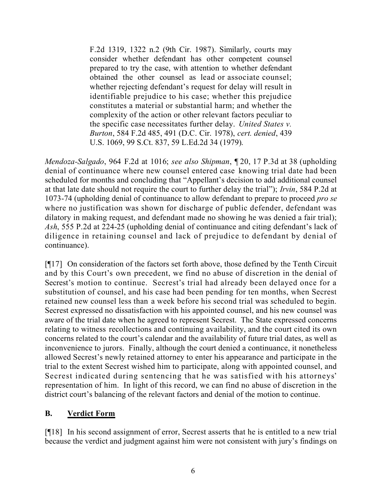F.2d 1319, 1322 n.2 (9th Cir. 1987). Similarly, courts may consider whether defendant has other competent counsel prepared to try the case, with attention to whether defendant obtained the other counsel as lead or associate counsel; whether rejecting defendant's request for delay will result in identifiable prejudice to his case; whether this prejudice constitutes a material or substantial harm; and whether the complexity of the action or other relevant factors peculiar to the specific case necessitates further delay. *United States v. Burton*, 584 F.2d 485, 491 (D.C. Cir. 1978), *cert. denied*, 439 U.S. 1069, 99 S.Ct. 837, 59 L.Ed.2d 34 (1979).

*Mendoza-Salgado*, 964 F.2d at 1016; *see also Shipman*, ¶ 20, 17 P.3d at 38 (upholding denial of continuance where new counsel entered case knowing trial date had been scheduled for months and concluding that "Appellant's decision to add additional counsel at that late date should not require the court to further delay the trial"); *Irvin*, 584 P.2d at 1073-74 (upholding denial of continuance to allow defendant to prepare to proceed *pro se* where no justification was shown for discharge of public defender, defendant was dilatory in making request, and defendant made no showing he was denied a fair trial); *Ash*, 555 P.2d at 224-25 (upholding denial of continuance and citing defendant's lack of diligence in retaining counsel and lack of prejudice to defendant by denial of continuance).

[¶17] On consideration of the factors set forth above, those defined by the Tenth Circuit and by this Court's own precedent, we find no abuse of discretion in the denial of Secrest's motion to continue. Secrest's trial had already been delayed once for a substitution of counsel, and his case had been pending for ten months, when Secrest retained new counsel less than a week before his second trial was scheduled to begin. Secrest expressed no dissatisfaction with his appointed counsel, and his new counsel was aware of the trial date when he agreed to represent Secrest. The State expressed concerns relating to witness recollections and continuing availability, and the court cited its own concerns related to the court's calendar and the availability of future trial dates, as well as inconvenience to jurors. Finally, although the court denied a continuance, it nonetheless allowed Secrest's newly retained attorney to enter his appearance and participate in the trial to the extent Secrest wished him to participate, along with appointed counsel, and Secrest indicated during sentencing that he was satisfied with his attorneys' representation of him. In light of this record, we can find no abuse of discretion in the district court's balancing of the relevant factors and denial of the motion to continue.

# **B. Verdict Form**

[¶18] In his second assignment of error, Secrest asserts that he is entitled to a new trial because the verdict and judgment against him were not consistent with jury's findings on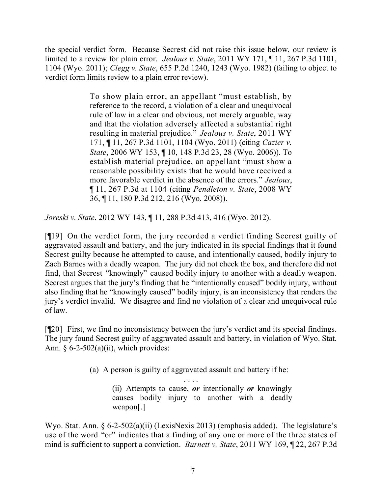the special verdict form. Because Secrest did not raise this issue below, our review is limited to a review for plain error. *Jealous v. State*, 2011 WY 171, ¶ 11, 267 P.3d 1101, 1104 (Wyo. 2011); *Clegg v. State*, 655 P.2d 1240, 1243 (Wyo. 1982) (failing to object to verdict form limits review to a plain error review).

> To show plain error, an appellant "must establish, by reference to the record, a violation of a clear and unequivocal rule of law in a clear and obvious, not merely arguable, way and that the violation adversely affected a substantial right resulting in material prejudice." *Jealous v. State*, 2011 WY 171, ¶ 11, 267 P.3d 1101, 1104 (Wyo. 2011) (citing *Cazier v. State*, 2006 WY 153, ¶ 10, 148 P.3d 23, 28 (Wyo. 2006)). To establish material prejudice, an appellant "must show a reasonable possibility exists that he would have received a more favorable verdict in the absence of the errors." *Jealous*, ¶ 11, 267 P.3d at 1104 (citing *Pendleton v. State*, 2008 WY 36, ¶ 11, 180 P.3d 212, 216 (Wyo. 2008)).

*Joreski v. State*, 2012 WY 143, ¶ 11, 288 P.3d 413, 416 (Wyo. 2012).

[¶19] On the verdict form, the jury recorded a verdict finding Secrest guilty of aggravated assault and battery, and the jury indicated in its special findings that it found Secrest guilty because he attempted to cause, and intentionally caused, bodily injury to Zach Barnes with a deadly weapon. The jury did not check the box, and therefore did not find, that Secrest "knowingly" caused bodily injury to another with a deadly weapon. Secrest argues that the jury's finding that he "intentionally caused" bodily injury, without also finding that he "knowingly caused" bodily injury, is an inconsistency that renders the jury's verdict invalid. We disagree and find no violation of a clear and unequivocal rule of law.

[¶20] First, we find no inconsistency between the jury's verdict and its special findings. The jury found Secrest guilty of aggravated assault and battery, in violation of Wyo. Stat. Ann.  $\S 6-2-502(a)(ii)$ , which provides:

(a) A person is guilty of aggravated assault and battery if he:

. . . . (ii) Attempts to cause, *or* intentionally *or* knowingly causes bodily injury to another with a deadly weapon[.]

Wyo. Stat. Ann. § 6-2-502(a)(ii) (LexisNexis 2013) (emphasis added). The legislature's use of the word "or" indicates that a finding of any one or more of the three states of mind is sufficient to support a conviction. *Burnett v. State*, 2011 WY 169, ¶ 22, 267 P.3d